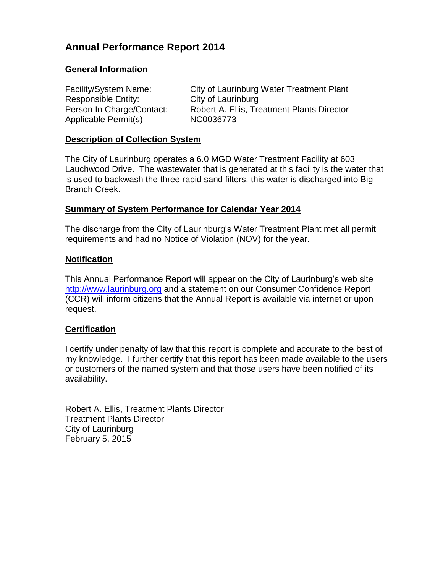# **Annual Performance Report 2014**

## **General Information**

Responsible Entity: City of Laurinburg Applicable Permit(s) NC0036773

Facility/System Name: City of Laurinburg Water Treatment Plant Person In Charge/Contact: Robert A. Ellis, Treatment Plants Director

## **Description of Collection System**

The City of Laurinburg operates a 6.0 MGD Water Treatment Facility at 603 Lauchwood Drive. The wastewater that is generated at this facility is the water that is used to backwash the three rapid sand filters, this water is discharged into Big Branch Creek.

## **Summary of System Performance for Calendar Year 2014**

The discharge from the City of Laurinburg's Water Treatment Plant met all permit requirements and had no Notice of Violation (NOV) for the year.

## **Notification**

This Annual Performance Report will appear on the City of Laurinburg's web site [http://www.laurinburg.org](http://www.laurinburg.org/) and a statement on our Consumer Confidence Report (CCR) will inform citizens that the Annual Report is available via internet or upon request.

## **Certification**

I certify under penalty of law that this report is complete and accurate to the best of my knowledge. I further certify that this report has been made available to the users or customers of the named system and that those users have been notified of its availability.

Robert A. Ellis, Treatment Plants Director Treatment Plants Director City of Laurinburg February 5, 2015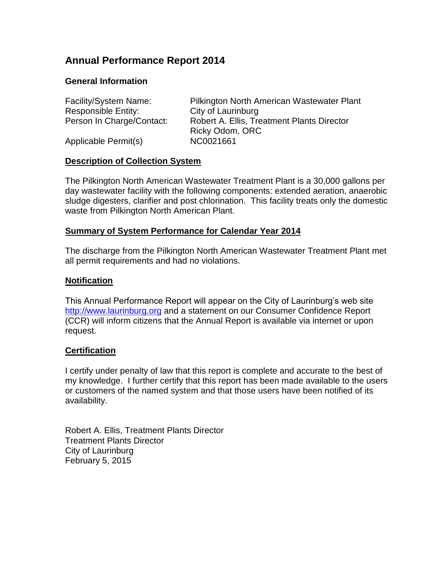# **Annual Performance Report 2014**

## **General Information**

| Facility/System Name:     | Pilkington North American Wastewater Plant |
|---------------------------|--------------------------------------------|
| Responsible Entity:       | City of Laurinburg                         |
| Person In Charge/Contact: | Robert A. Ellis, Treatment Plants Director |
|                           | Ricky Odom, ORC                            |
| Applicable Permit(s)      | NC0021661                                  |

#### **Description of Collection System**

The Pilkington North American Wastewater Treatment Plant is a 30,000 gallons per day wastewater facility with the following components: extended aeration, anaerobic sludge digesters, clarifier and post chlorination. This facility treats only the domestic waste from Pilkington North American Plant.

#### **Summary of System Performance for Calendar Year 2014**

The discharge from the Pilkington North American Wastewater Treatment Plant met all permit requirements and had no violations.

#### **Notification**

This Annual Performance Report will appear on the City of Laurinburg's web site [http://www.laurinburg.org](http://www.laurinburg.org/) and a statement on our Consumer Confidence Report (CCR) will inform citizens that the Annual Report is available via internet or upon request.

#### **Certification**

I certify under penalty of law that this report is complete and accurate to the best of my knowledge. I further certify that this report has been made available to the users or customers of the named system and that those users have been notified of its availability.

Robert A. Ellis, Treatment Plants Director Treatment Plants Director City of Laurinburg February 5, 2015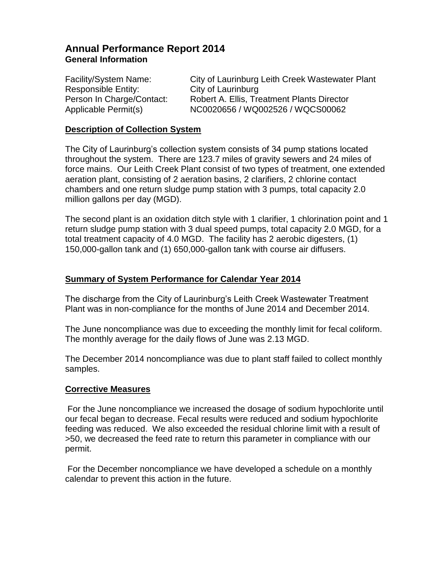# **Annual Performance Report 2014 General Information**

Facility/System Name: City of Laurinburg Leith Creek Wastewater Plant Responsible Entity: City of Laurinburg Person In Charge/Contact: Robert A. Ellis, Treatment Plants Director Applicable Permit(s) NC0020656 / WQ002526 / WQCS00062

#### **Description of Collection System**

The City of Laurinburg's collection system consists of 34 pump stations located throughout the system. There are 123.7 miles of gravity sewers and 24 miles of force mains. Our Leith Creek Plant consist of two types of treatment, one extended aeration plant, consisting of 2 aeration basins, 2 clarifiers, 2 chlorine contact chambers and one return sludge pump station with 3 pumps, total capacity 2.0 million gallons per day (MGD).

The second plant is an oxidation ditch style with 1 clarifier, 1 chlorination point and 1 return sludge pump station with 3 dual speed pumps, total capacity 2.0 MGD, for a total treatment capacity of 4.0 MGD. The facility has 2 aerobic digesters, (1) 150,000-gallon tank and (1) 650,000-gallon tank with course air diffusers.

#### **Summary of System Performance for Calendar Year 2014**

The discharge from the City of Laurinburg's Leith Creek Wastewater Treatment Plant was in non-compliance for the months of June 2014 and December 2014.

The June noncompliance was due to exceeding the monthly limit for fecal coliform. The monthly average for the daily flows of June was 2.13 MGD.

The December 2014 noncompliance was due to plant staff failed to collect monthly samples.

#### **Corrective Measures**

For the June noncompliance we increased the dosage of sodium hypochlorite until our fecal began to decrease. Fecal results were reduced and sodium hypochlorite feeding was reduced. We also exceeded the residual chlorine limit with a result of >50, we decreased the feed rate to return this parameter in compliance with our permit.

For the December noncompliance we have developed a schedule on a monthly calendar to prevent this action in the future.